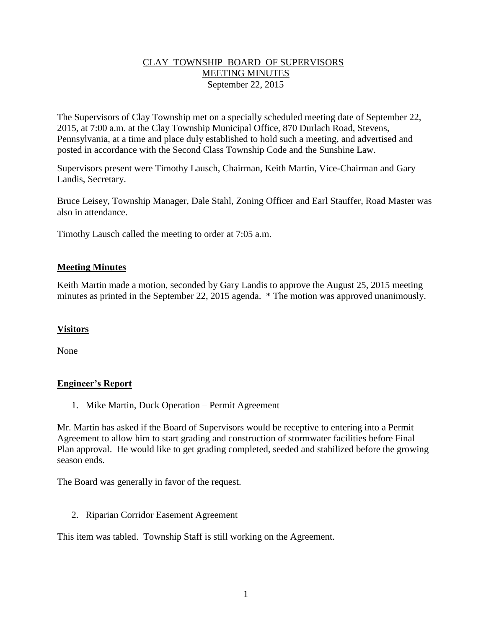## CLAY TOWNSHIP BOARD OF SUPERVISORS MEETING MINUTES September 22, 2015

The Supervisors of Clay Township met on a specially scheduled meeting date of September 22, 2015, at 7:00 a.m. at the Clay Township Municipal Office, 870 Durlach Road, Stevens, Pennsylvania, at a time and place duly established to hold such a meeting, and advertised and posted in accordance with the Second Class Township Code and the Sunshine Law.

Supervisors present were Timothy Lausch, Chairman, Keith Martin, Vice-Chairman and Gary Landis, Secretary.

Bruce Leisey, Township Manager, Dale Stahl, Zoning Officer and Earl Stauffer, Road Master was also in attendance.

Timothy Lausch called the meeting to order at 7:05 a.m.

## **Meeting Minutes**

Keith Martin made a motion, seconded by Gary Landis to approve the August 25, 2015 meeting minutes as printed in the September 22, 2015 agenda. \* The motion was approved unanimously.

#### **Visitors**

None

# **Engineer's Report**

1. Mike Martin, Duck Operation – Permit Agreement

Mr. Martin has asked if the Board of Supervisors would be receptive to entering into a Permit Agreement to allow him to start grading and construction of stormwater facilities before Final Plan approval. He would like to get grading completed, seeded and stabilized before the growing season ends.

The Board was generally in favor of the request.

2. Riparian Corridor Easement Agreement

This item was tabled. Township Staff is still working on the Agreement.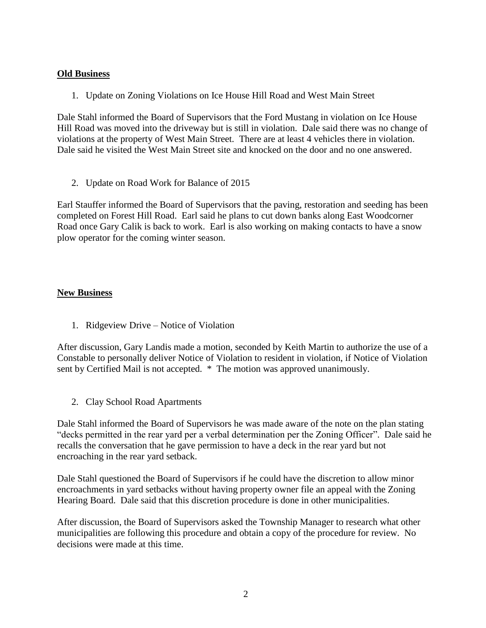## **Old Business**

1. Update on Zoning Violations on Ice House Hill Road and West Main Street

Dale Stahl informed the Board of Supervisors that the Ford Mustang in violation on Ice House Hill Road was moved into the driveway but is still in violation. Dale said there was no change of violations at the property of West Main Street. There are at least 4 vehicles there in violation. Dale said he visited the West Main Street site and knocked on the door and no one answered.

2. Update on Road Work for Balance of 2015

Earl Stauffer informed the Board of Supervisors that the paving, restoration and seeding has been completed on Forest Hill Road. Earl said he plans to cut down banks along East Woodcorner Road once Gary Calik is back to work. Earl is also working on making contacts to have a snow plow operator for the coming winter season.

# **New Business**

1. Ridgeview Drive – Notice of Violation

After discussion, Gary Landis made a motion, seconded by Keith Martin to authorize the use of a Constable to personally deliver Notice of Violation to resident in violation, if Notice of Violation sent by Certified Mail is not accepted. \* The motion was approved unanimously.

2. Clay School Road Apartments

Dale Stahl informed the Board of Supervisors he was made aware of the note on the plan stating "decks permitted in the rear yard per a verbal determination per the Zoning Officer". Dale said he recalls the conversation that he gave permission to have a deck in the rear yard but not encroaching in the rear yard setback.

Dale Stahl questioned the Board of Supervisors if he could have the discretion to allow minor encroachments in yard setbacks without having property owner file an appeal with the Zoning Hearing Board. Dale said that this discretion procedure is done in other municipalities.

After discussion, the Board of Supervisors asked the Township Manager to research what other municipalities are following this procedure and obtain a copy of the procedure for review. No decisions were made at this time.